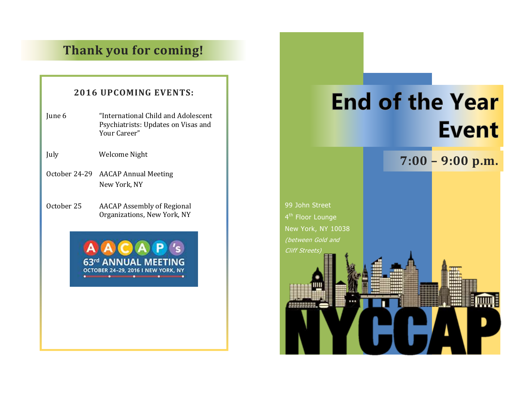# **Thank you for coming!**

# **2016 UPCOMING EVENTS:**

- June 6 "International Child and Adolescent Psychiatrists: Updates on Visas and Your Career"
- July Welcome Night
- October 24-29 AACAP Annual Meeting New York, NY
- October 25 AACAP Assembly of Regional Organizations, New York, NY

**NNILL OCTOBER 24-29, 2016 I NEW** 

# **End of the Year Event**